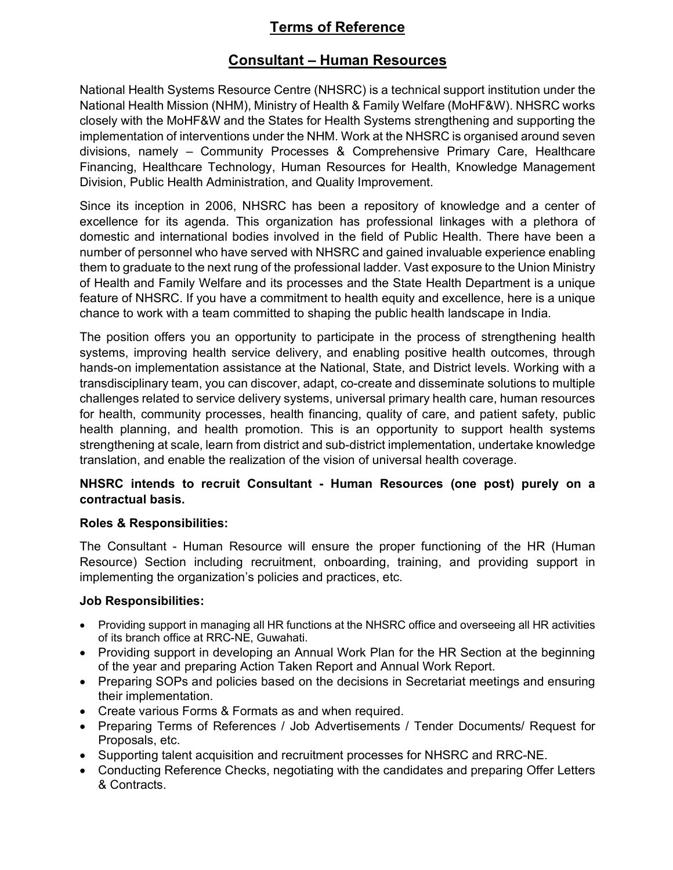# Terms of Reference

### Consultant – Human Resources

National Health Systems Resource Centre (NHSRC) is a technical support institution under the National Health Mission (NHM), Ministry of Health & Family Welfare (MoHF&W). NHSRC works closely with the MoHF&W and the States for Health Systems strengthening and supporting the implementation of interventions under the NHM. Work at the NHSRC is organised around seven divisions, namely – Community Processes & Comprehensive Primary Care, Healthcare Financing, Healthcare Technology, Human Resources for Health, Knowledge Management Division, Public Health Administration, and Quality Improvement.

Since its inception in 2006, NHSRC has been a repository of knowledge and a center of excellence for its agenda. This organization has professional linkages with a plethora of domestic and international bodies involved in the field of Public Health. There have been a number of personnel who have served with NHSRC and gained invaluable experience enabling them to graduate to the next rung of the professional ladder. Vast exposure to the Union Ministry of Health and Family Welfare and its processes and the State Health Department is a unique feature of NHSRC. If you have a commitment to health equity and excellence, here is a unique chance to work with a team committed to shaping the public health landscape in India.

The position offers you an opportunity to participate in the process of strengthening health systems, improving health service delivery, and enabling positive health outcomes, through hands-on implementation assistance at the National, State, and District levels. Working with a transdisciplinary team, you can discover, adapt, co-create and disseminate solutions to multiple challenges related to service delivery systems, universal primary health care, human resources for health, community processes, health financing, quality of care, and patient safety, public health planning, and health promotion. This is an opportunity to support health systems strengthening at scale, learn from district and sub-district implementation, undertake knowledge translation, and enable the realization of the vision of universal health coverage.

#### NHSRC intends to recruit Consultant - Human Resources (one post) purely on a contractual basis.

#### Roles & Responsibilities:

The Consultant - Human Resource will ensure the proper functioning of the HR (Human Resource) Section including recruitment, onboarding, training, and providing support in implementing the organization's policies and practices, etc.

### Job Responsibilities:

- Providing support in managing all HR functions at the NHSRC office and overseeing all HR activities of its branch office at RRC-NE, Guwahati.
- Providing support in developing an Annual Work Plan for the HR Section at the beginning of the year and preparing Action Taken Report and Annual Work Report.
- Preparing SOPs and policies based on the decisions in Secretariat meetings and ensuring their implementation.
- Create various Forms & Formats as and when required.
- Preparing Terms of References / Job Advertisements / Tender Documents/ Request for Proposals, etc.
- Supporting talent acquisition and recruitment processes for NHSRC and RRC-NE.
- Conducting Reference Checks, negotiating with the candidates and preparing Offer Letters & Contracts.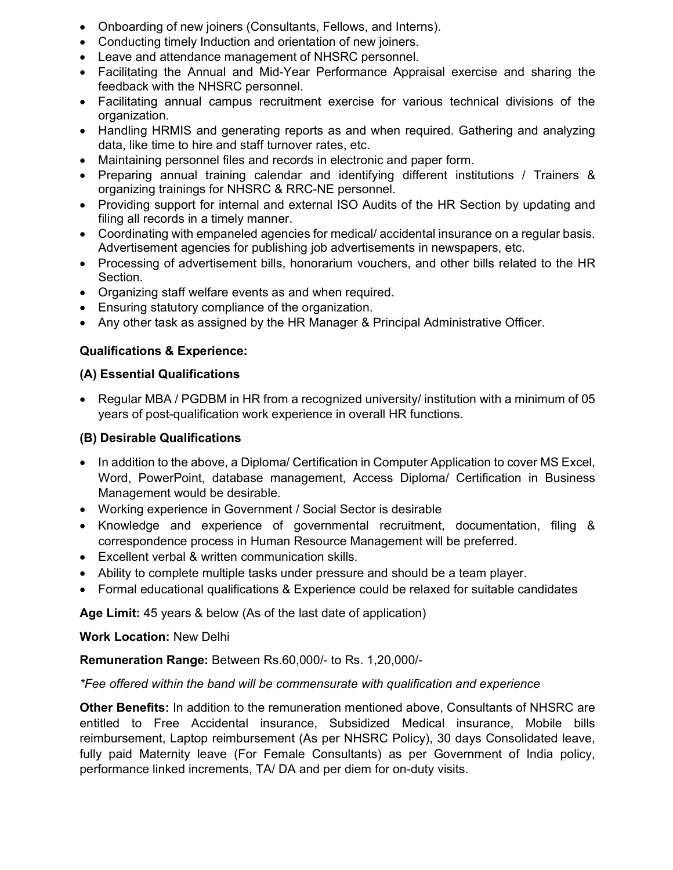- Onboarding of new joiners (Consultants, Fellows, and Interns).
- Conducting timely Induction and orientation of new joiners.
- Leave and attendance management of NHSRC personnel.
- Facilitating the Annual and Mid-Year Performance Appraisal exercise and sharing the feedback with the NHSRC personnel.
- Facilitating annual campus recruitment exercise for various technical divisions of the organization.
- Handling HRMIS and generating reports as and when required. Gathering and analyzing data, like time to hire and staff turnover rates, etc.
- Maintaining personnel files and records in electronic and paper form.
- Preparing annual training calendar and identifying different institutions / Trainers & organizing trainings for NHSRC & RRC-NE personnel.
- Providing support for internal and external ISO Audits of the HR Section by updating and filing all records in a timely manner.
- Coordinating with empaneled agencies for medical/ accidental insurance on a regular basis. Advertisement agencies for publishing job advertisements in newspapers, etc.
- Processing of advertisement bills, honorarium vouchers, and other bills related to the HR Section.
- Organizing staff welfare events as and when required.
- Ensuring statutory compliance of the organization.
- Any other task as assigned by the HR Manager & Principal Administrative Officer.

### Qualifications & Experience:

#### (A) Essential Qualifications

 Regular MBA / PGDBM in HR from a recognized university/ institution with a minimum of 05 years of post-qualification work experience in overall HR functions.

#### (B) Desirable Qualifications

- In addition to the above, a Diploma/ Certification in Computer Application to cover MS Excel, Word, PowerPoint, database management, Access Diploma/ Certification in Business Management would be desirable.
- Working experience in Government / Social Sector is desirable
- Knowledge and experience of governmental recruitment, documentation, filing & correspondence process in Human Resource Management will be preferred.
- Excellent verbal & written communication skills.
- Ability to complete multiple tasks under pressure and should be a team player.
- Formal educational qualifications & Experience could be relaxed for suitable candidates

Age Limit: 45 years & below (As of the last date of application)

Work Location: New Delhi

#### Remuneration Range: Between Rs.60,000/- to Rs. 1,20,000/-

#### \*Fee offered within the band will be commensurate with qualification and experience

Other Benefits: In addition to the remuneration mentioned above, Consultants of NHSRC are entitled to Free Accidental insurance, Subsidized Medical insurance, Mobile bills reimbursement, Laptop reimbursement (As per NHSRC Policy), 30 days Consolidated leave, fully paid Maternity leave (For Female Consultants) as per Government of India policy, performance linked increments, TA/ DA and per diem for on-duty visits.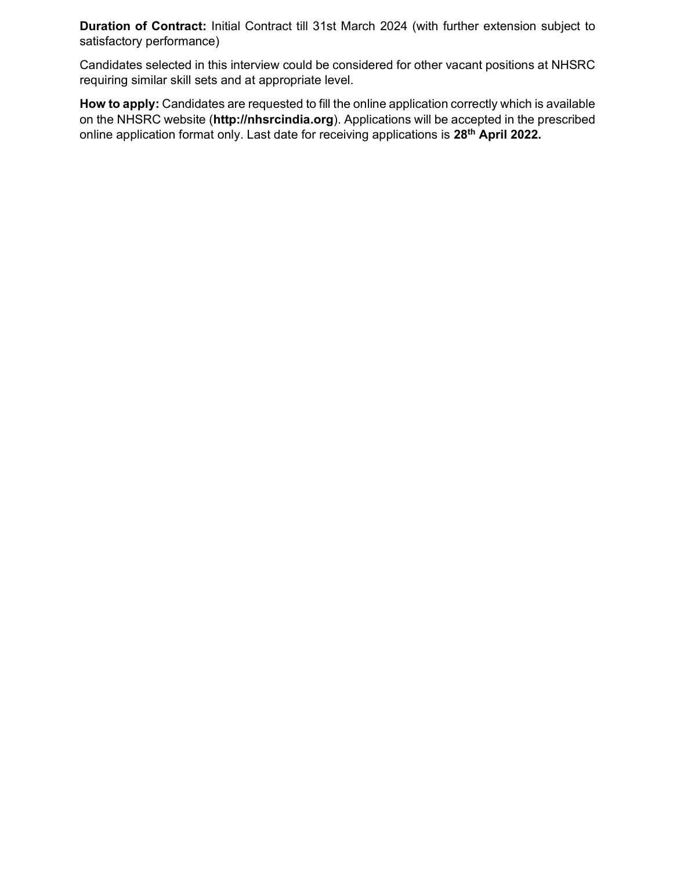Duration of Contract: Initial Contract till 31st March 2024 (with further extension subject to satisfactory performance)

Candidates selected in this interview could be considered for other vacant positions at NHSRC requiring similar skill sets and at appropriate level.

How to apply: Candidates are requested to fill the online application correctly which is available on the NHSRC website (http://nhsrcindia.org). Applications will be accepted in the prescribed online application format only. Last date for receiving applications is 28<sup>th</sup> April 2022.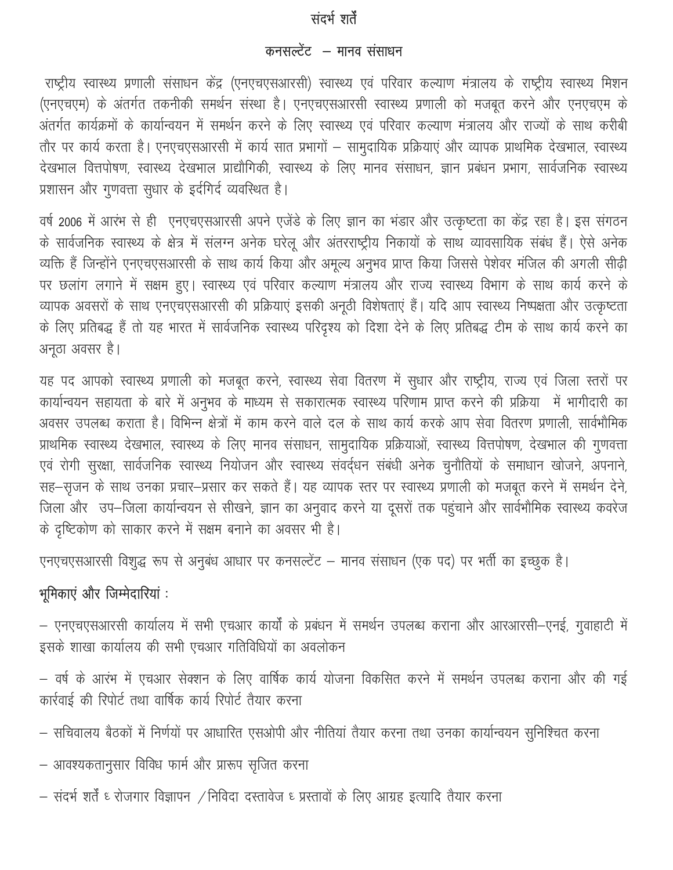# संदर्भ शर्तें

### कनसल्टेंट – मानव संसाधन

राष्ट्रीय स्वास्थ्य प्रणाली संसाधन केंद्र (एनएचएसआरसी) स्वास्थ्य एवं परिवार कल्याण मंत्रालय के राष्ट्रीय स्वास्थ्य मिशन (एनएचएम) के अंतर्गत तकनीकी समर्थन संस्था है। एनएचएसआरसी स्वास्थ्य प्रणाली को मजबूत करने और एनएचएम के अंतर्गत कार्यक्रमों के कार्यान्वयन में समर्थन करने के लिए स्वास्थ्य एवं परिवार कल्याण मंत्रालय और राज्यों के साथ करीबी तौर पर कार्य करता है। एनएचएसआरसी में कार्य सात प्रभागों – सामुदायिक प्रक्रियाएं और व्यापक प्राथमिक देखभाल, स्वास्थ्य देखभाल वित्तपोषण, स्वास्थ्य देखभाल प्राद्यौगिकी, स्वास्थ्य के लिए मानव संसाधन, ज्ञान प्रबंधन प्रभाग, सार्वजनिक स्वास्थ्य प्रशासन और गुणवत्ता सुधार के इर्दगिर्द व्यवस्थित है।

वर्ष 2006 में आरंभ से ही एनएचएसआरसी अपने एजेंडे के लिए ज्ञान का भंडार और उत्कृष्टता का केंद्र रहा है। इस संगठन के सार्वजनिक स्वास्थ्य के क्षेत्र में संलग्न अनेक घरेलू और अंतरराष्ट्रीय निकायों के साथ व्यावसायिक संबंध हैं। ऐसे अनेक व्यक्ति हैं जिन्होंने एनएचएसआरसी के साथ कार्य किया और अमूल्य अनुभव प्राप्त किया जिससे पेशेवर मंजिल की अगली सीढ़ी पर छलांग लगाने में सक्षम हुए। स्वास्थ्य एवं परिवार कल्याण मंत्रालय और राज्य स्वास्थ्य विभाग के साथ कार्य करने के व्यापक अवसरों के साथ एनएचएसआरसी की प्रक्रियाएं इसकी अनूठी विशेषताएं हैं। यदि आप स्वास्थ्य निष्पक्षता और उत्कृष्टता के लिए प्रतिबद्ध हैं तो यह भारत में सार्वजनिक स्वास्थ्य परिदृश्य को दिशा देने के लिए प्रतिबद्ध टीम के साथ कार्य करने का अनूठा अवसर है।

यह पद आपको स्वास्थ्य प्रणाली को मजबूत करने, स्वास्थ्य सेवा वितरण में सुधार और राष्ट्रीय, राज्य एवं जिला स्तरों पर कार्यान्वयन सहायता के बारे में अनुभव के माध्यम से सकारात्मक स्वास्थ्य परिणाम प्राप्त करने की प्रक्रिया में भागीदारी का अवसर उपलब्ध कराता है। विभिन्न क्षेत्रों में काम करने वाले दल के साथ कार्य करके आप सेवा वितरण प्रणाली, सार्वभौमिक प्राथमिक स्वास्थ्य देखभाल, स्वास्थ्य के लिए मानव संसाधन, सामुदायिक प्रक्रियाओं, स्वास्थ्य वित्तपोषण, देखभाल की गुणवत्ता एवं रोगी सुरक्षा, सार्वजनिक स्वास्थ्य नियोजन और स्वास्थ्य संवर्दधन संबंधी अनेक चुनौतियों के समाधान खोजने, अपनाने, सह-सृजन के साथ उनका प्रचार-प्रसार कर सकते हैं। यह व्यापक स्तर पर स्वास्थ्य प्रणाली को मजबूत करने में समर्थन देने, जिला और उप-जिला कार्यान्वयन से सीखने, ज्ञान का अनुवाद करने या दूसरों तक पहुंचाने और सार्वभौमिक स्वास्थ्य कवरेज के दृष्टिकोण को साकार करने में सक्षम बनाने का अवसर भी है।

एनएचएसआरसी विशुद्ध रूप से अनुबंध आधार पर कनसल्टेंट – मानव संसाधन (एक पद) पर भर्ती का इच्छुक है।

# भूमिकाएं और जिम्मेदारियां :

- एनएचएसआरसी कार्यालय में सभी एचआर कार्यों के प्रबंधन में समर्थन उपलब्ध कराना और आरआरसी-एनई, गुवाहाटी में इसके शाखा कार्यालय की सभी एचआर गतिविधियों का अवलोकन

– वर्ष के आरंभ में एचआर सेक्शन के लिए वार्षिक कार्य योजना विकसित करने में समर्थन उपलब्ध कराना और की गई कार्रवाई की रिपोर्ट तथा वार्षिक कार्य रिपोर्ट तैयार करना

- सचिवालय बैठकों में निर्णयों पर आधारित एसओपी और नीतियां तैयार करना तथा उनका कार्यान्वयन सुनिश्चित करना
- आवश्यकतानुसार विविध फार्म और प्रारूप सृजित करना
- संदर्भ शर्तें ६ रोजगार विज्ञापन / निविदा दस्तावेज ६ प्रस्तावों के लिए आग्रह इत्यादि तैयार करना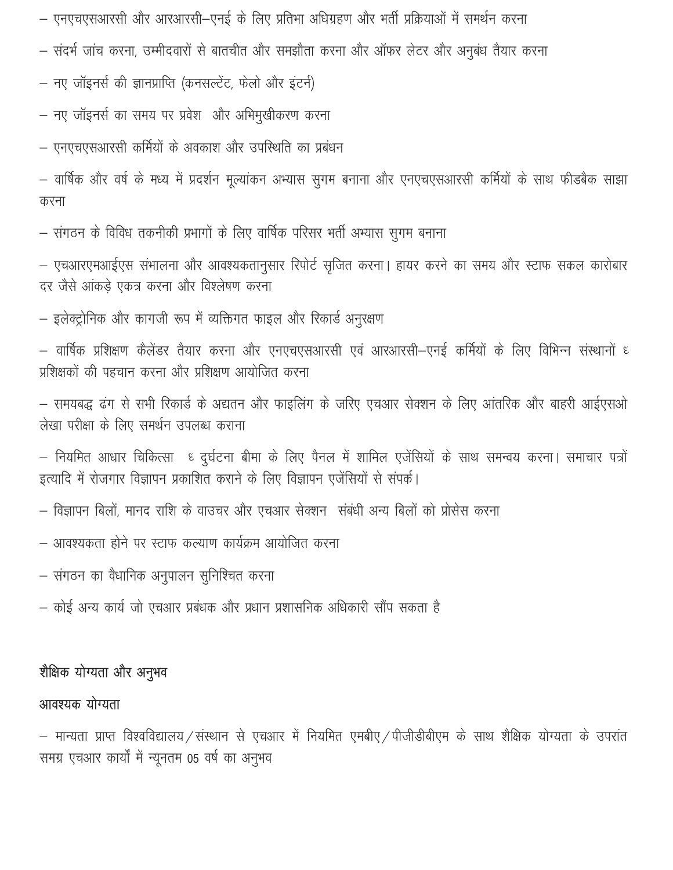– एनएचएसआरसी और आरआरसी–एनई के लिए प्रतिभा अधिग्रहण और भर्ती प्रक्रियाओं में समर्थन करना

– संदर्भ जांच करना, उम्मीदवारों से बातचीत और समझौता करना और ऑफर लेटर और अनुबंध तैयार करना

– नए जॉइनर्स की ज्ञानप्राप्ति (कनसल्टेंट, फेलो और इंटर्न)

– नए जॉइनर्स का समय पर प्रवेश और अभिमुखीकरण करना

– एनएचएसआरसी कर्मियों के अवकाश और उपस्थिति का प्रबंधन

– वार्षिक और वर्ष के मध्य में प्रदर्शन मूल्यांकन अभ्यास सुगम बनाना और एनएचएसआरसी कर्मियों के साथ फीडबैक साझा करना

– संगठन के विविध तकनीकी प्रभागों के लिए वार्षिक परिसर भर्ती अभ्यास सुगम बनाना

– एचआरएमआईएस संभालना और आवश्यकतानुसार रिपोर्ट सृजित करना। हायर करने का समय और स्टाफ सकल कारोबार दर जैसे आंकडे एकत्र करना और विश्लेषण करना

– इलेक्ट्रोनिक और कागजी रूप में व्यक्तिगत फाइल और रिकार्ड अनुरक्षण

– वार्षिक प्रशिक्षण कैलेंडर तैयार करना और एनएचएसआरसी एवं आरआरसी–एनई कर्मियों के लिए विभिन्न संस्थानों ध प्रशिक्षकों की पहचान करना और प्रशिक्षण आयोजित करना

– समयबद्ध ढंग से सभी रिकार्ड के अद्यतन और फाइलिंग के जरिए एचआर सेक्शन के लिए आंतरिक और बाहरी आईएसओ लेखा परीक्षा के लिए समर्थन उपलब्ध कराना

– नियमित आधार चिकित्सा ६ दुर्घटना बीमा के लिए पैनल में शामिल एजेंसियों के साथ समन्वय करना। समाचार पत्रों इत्यादि में रोजगार विज्ञापन प्रकाशित कराने के लिए विज्ञापन एजेंसियों से संपर्क।

– विज्ञापन बिलों, मानद राशि के वाउचर और एचआर सेक्शन) संबंधी अन्य बिलों को प्रोसेस करना

– आवश्यकता होने पर स्टाफ कल्याण कार्यक्रम आयोजित करना

– संगठन का वैधानिक अनुपालन सुनिश्चित करना

– कोई अन्य कार्य जो एचआर प्रबंधक और प्रधान प्रशासनिक अधिकारी सौंप सकता है

### शैक्षिक योग्यता और अनुभव

## आवश्यक योग्यता

- मान्यता प्राप्त विश्वविद्यालय/संस्थान से एचआर में नियमित एमबीए/पीजीडीबीएम के साथ शैक्षिक योग्यता के उपरांत समग्र एचआर कार्यों में न्यूनतम 05 वर्ष का अनुभव